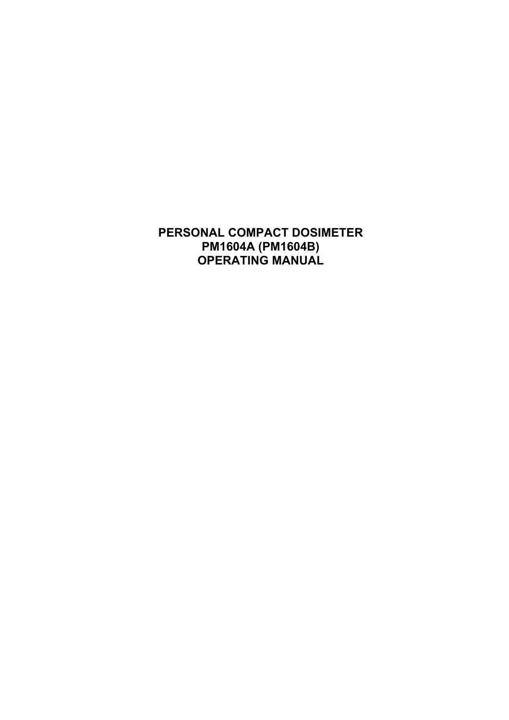**PERSONAL COMPACT DOSIMETER РМ1604A (PM1604B) OPERATING MANUAL**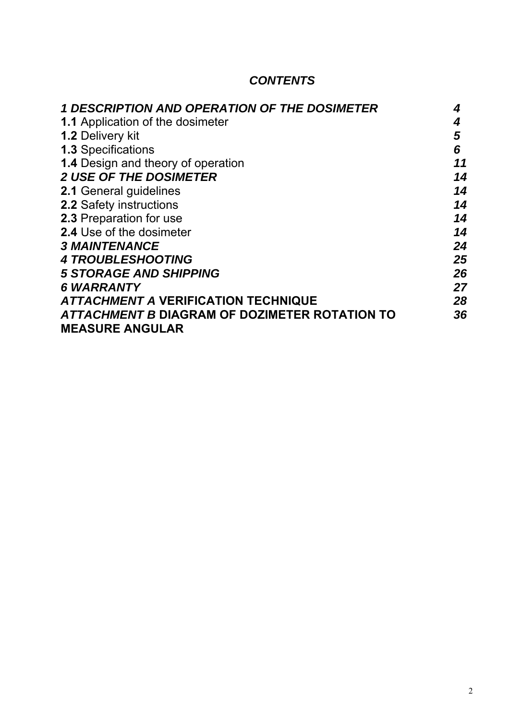# *CONTENTS*

| <b>1 DESCRIPTION AND OPERATION OF THE DOSIMETER</b> | 4  |
|-----------------------------------------------------|----|
| <b>1.1 Application of the dosimeter</b>             | 4  |
| <b>1.2 Delivery kit</b>                             | 5  |
| <b>1.3 Specifications</b>                           | 6  |
| <b>1.4 Design and theory of operation</b>           | 11 |
| <b>2 USE OF THE DOSIMETER</b>                       | 14 |
| <b>2.1 General guidelines</b>                       | 14 |
| <b>2.2 Safety instructions</b>                      | 14 |
| <b>2.3 Preparation for use</b>                      | 14 |
| 2.4 Use of the dosimeter                            | 14 |
| <b>3 MAINTENANCE</b>                                | 24 |
| <b>4 TROUBLESHOOTING</b>                            | 25 |
| <b>5 STORAGE AND SHIPPING</b>                       | 26 |
| <b>6 WARRANTY</b>                                   | 27 |
| <b>ATTACHMENT A VERIFICATION TECHNIQUE</b>          | 28 |
| ATTACHMENT B DIAGRAM OF DOZIMETER ROTATION TO       | 36 |
| <b>MEASURE ANGULAR</b>                              |    |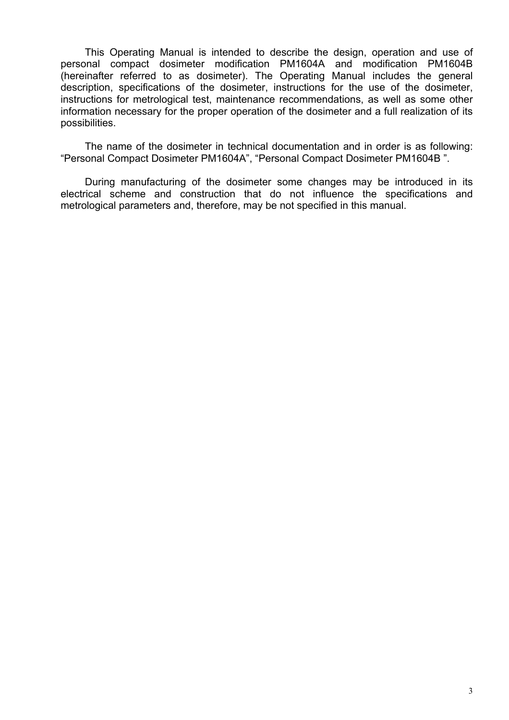This Operating Manual is intended to describe the design, operation and use of personal compact dosimeter modification PM1604A and modification PM1604B (hereinafter referred to as dosimeter). The Operating Manual includes the general description, specifications of the dosimeter, instructions for the use of the dosimeter, instructions for metrological test, maintenance recommendations, as well as some other information necessary for the proper operation of the dosimeter and a full realization of its possibilities.

The name of the dosimeter in technical documentation and in order is as following: "Personal Compact Dosimeter PM1604A", "Personal Compact Dosimeter PM1604B ".

During manufacturing of the dosimeter some changes may be introduced in its electrical scheme and construction that do not influence the specifications and metrological parameters and, therefore, may be not specified in this manual.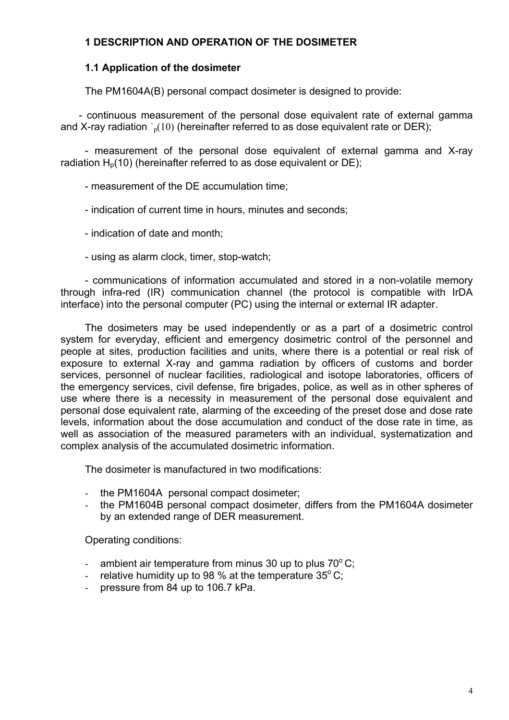## **1 DESCRIPTION AND OPERATION OF THE DOSIMETER**

## **1.1 Application of the dosimeter**

The PM1604A(B) personal compact dosimeter is designed to provide:

- continuous measurement of the personal dose equivalent rate of external gamma and X-ray radiation  $\delta_p(10)$  (hereinafter referred to as dose equivalent rate or DER);

- measurement of the personal dose equivalent of external gamma and X-ray radiation  $H<sub>p</sub>(10)$  (hereinafter referred to as dose equivalent or DE);

- measurement of the DE accumulation time;

- indication of current time in hours, minutes and seconds;

- indication of date and month;
- using as alarm clock, timer, stop-watch;

- communications of information accumulated and stored in a non-volatile memory through infra-red (IR) communication channel (the protocol is compatible with IrDA interface) into the personal computer (PC) using the internal or external IR adapter.

The dosimeters may be used independently or as a part of a dosimetric control system for everyday, efficient and emergency dosimetric control of the personnel and people at sites, production facilities and units, where there is a potential or real risk of exposure to external X-ray and gamma radiation by officers of customs and border services, personnel of nuclear facilities, radiological and isotope laboratories, officers of the emergency services, civil defense, fire brigades, police, as well as in other spheres of use where there is a necessity in measurement of the personal dose equivalent and personal dose equivalent rate, alarming of the exceeding of the preset dose and dose rate levels, information about the dose accumulation and conduct of the dose rate in time, as well as association of the measured parameters with an individual, systematization and complex analysis of the accumulated dosimetric information.

The dosimeter is manufactured in two modifications:

- the РМ1604A personal compact dosimeter;
- the РМ1604B personal compact dosimeter, differs from the РМ1604A dosimeter by an extended range of DER measurement.

Operating conditions:

- ambient air temperature from minus 30 up to plus  $70^{\circ}$ C;
- relative humidity up to 98 % at the temperature  $35^{\circ}$  C;
- pressure from 84 up to 106.7 kPa.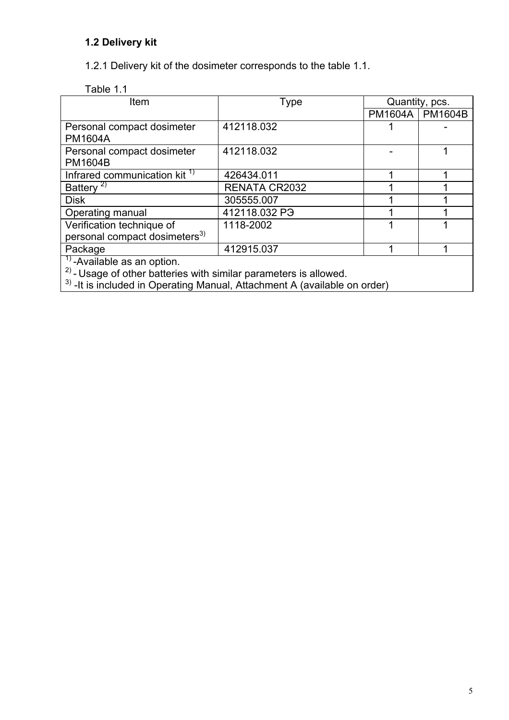## **1.2 Delivery kit**

1.2.1 Delivery kit of the dosimeter corresponds to the table 1.1.

| Table 1.1 |  |
|-----------|--|
|           |  |

| Item                                                                | Type                      | Quantity, pcs. |                |
|---------------------------------------------------------------------|---------------------------|----------------|----------------|
|                                                                     |                           | <b>PM1604A</b> | <b>PM1604B</b> |
| Personal compact dosimeter                                          | 412118.032                |                |                |
| <b>PM1604A</b>                                                      |                           |                |                |
| Personal compact dosimeter                                          | 412118.032                |                |                |
| <b>PM1604B</b>                                                      |                           |                |                |
| Infrared communication kit <sup>1)</sup>                            | 426434.011                |                |                |
| Battery <sup>2)</sup>                                               | <b>RENATA CR2032</b>      |                |                |
| <b>Disk</b>                                                         | 305555.007                |                |                |
| Operating manual                                                    | 412118.032 P <sub>3</sub> |                |                |
| Verification technique of                                           | 1118-2002                 |                |                |
| personal compact dosimeters <sup>3)</sup>                           |                           |                |                |
| Package                                                             | 412915.037                |                |                |
| $1$ -Available as an option.                                        |                           |                |                |
| $2)$ - Usage of other batteries with similar parameters is allowed. |                           |                |                |

 $3)$  -It is included in Operating Manual, Attachment A (available on order)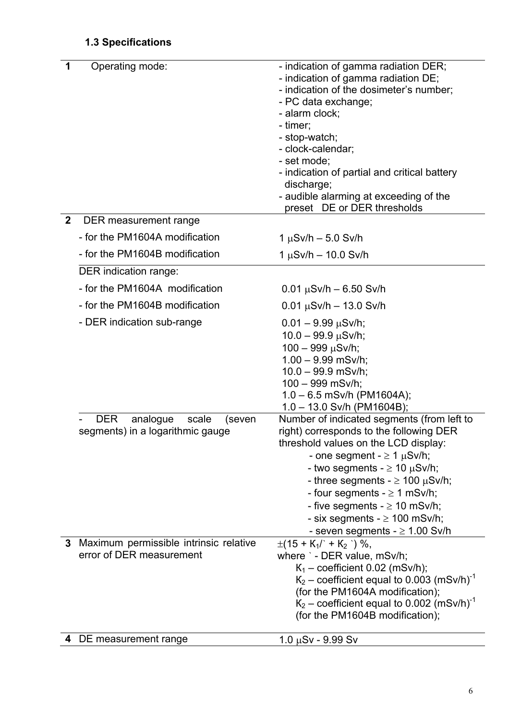# **1.3 Specifications**

| 1            | Operating mode:                           | - indication of gamma radiation DER;<br>- indication of gamma radiation DE;<br>- indication of the dosimeter's number;<br>- PC data exchange;<br>- alarm clock;<br>- timer;<br>- stop-watch;<br>- clock-calendar;<br>- set mode;<br>- indication of partial and critical battery<br>discharge;<br>- audible alarming at exceeding of the<br>preset DE or DER thresholds |
|--------------|-------------------------------------------|-------------------------------------------------------------------------------------------------------------------------------------------------------------------------------------------------------------------------------------------------------------------------------------------------------------------------------------------------------------------------|
| $\mathbf{2}$ | DER measurement range                     |                                                                                                                                                                                                                                                                                                                                                                         |
|              | - for the PM1604A modification            | $1 \mu Sv/h - 5.0 \text{ Sv/h}$                                                                                                                                                                                                                                                                                                                                         |
|              | - for the PM1604B modification            | $1 \mu Sv/h - 10.0 \, Sv/h$                                                                                                                                                                                                                                                                                                                                             |
|              | DER indication range:                     |                                                                                                                                                                                                                                                                                                                                                                         |
|              | - for the PM1604A modification            | $0.01 \mu$ Sv/h – 6.50 Sv/h                                                                                                                                                                                                                                                                                                                                             |
|              | - for the PM1604B modification            | $0.01 \mu Sv/h - 13.0 \text{ Sv/h}$                                                                                                                                                                                                                                                                                                                                     |
|              | - DER indication sub-range                | $0.01 - 9.99 \mu Sv/h;$                                                                                                                                                                                                                                                                                                                                                 |
|              |                                           | $10.0 - 99.9 \,\mu\text{Sv/h}$ ;                                                                                                                                                                                                                                                                                                                                        |
|              |                                           | $100 - 999$ $\mu$ Sv/h;<br>$1.00 - 9.99$ mSv/h;                                                                                                                                                                                                                                                                                                                         |
|              |                                           | $10.0 - 99.9$ mSv/h;                                                                                                                                                                                                                                                                                                                                                    |
|              |                                           | 100 - 999 mSv/h;                                                                                                                                                                                                                                                                                                                                                        |
|              |                                           | $1.0 - 6.5$ mSv/h (PM1604A);<br>$1.0 - 13.0$ Sv/h (PM1604B);                                                                                                                                                                                                                                                                                                            |
|              | <b>DER</b><br>analogue<br>scale<br>(seven | Number of indicated segments (from left to                                                                                                                                                                                                                                                                                                                              |
|              | segments) in a logarithmic gauge          | right) corresponds to the following DER                                                                                                                                                                                                                                                                                                                                 |
|              |                                           | threshold values on the LCD display:                                                                                                                                                                                                                                                                                                                                    |
|              |                                           | - one segment - $\geq 1$ $\mu$ Sv/h;<br>- two segments - $\geq 10 \mu$ Sv/h;                                                                                                                                                                                                                                                                                            |
|              |                                           | - three segments - $\geq$ 100 $\mu$ Sv/h;                                                                                                                                                                                                                                                                                                                               |
|              |                                           | - four segments $- \ge 1$ mSv/h;                                                                                                                                                                                                                                                                                                                                        |
|              |                                           | - five segments - $\geq$ 10 mSv/h;                                                                                                                                                                                                                                                                                                                                      |
|              |                                           | - six segments - $\geq$ 100 mSv/h;                                                                                                                                                                                                                                                                                                                                      |
|              | 3 Maximum permissible intrinsic relative  | - seven segments - $\geq$ 1.00 Sv/h<br>$\pm(15 + K_1)' + K_2'$ ) %,                                                                                                                                                                                                                                                                                                     |
|              | error of DER measurement                  | where ` - DER value, mSv/h;                                                                                                                                                                                                                                                                                                                                             |
|              |                                           | $K_1$ – coefficient 0.02 (mSv/h);                                                                                                                                                                                                                                                                                                                                       |
|              |                                           | $K_2$ – coefficient equal to 0.003 (mSv/h) <sup>-1</sup>                                                                                                                                                                                                                                                                                                                |
|              |                                           | (for the PM1604A modification);<br>$K_2$ – coefficient equal to 0.002 (mSv/h) <sup>-1</sup>                                                                                                                                                                                                                                                                             |
|              |                                           | (for the PM1604B modification);                                                                                                                                                                                                                                                                                                                                         |
|              | 4 DE measurement range                    | $1.0 \mu Sv - 9.99 Sv$                                                                                                                                                                                                                                                                                                                                                  |
|              |                                           |                                                                                                                                                                                                                                                                                                                                                                         |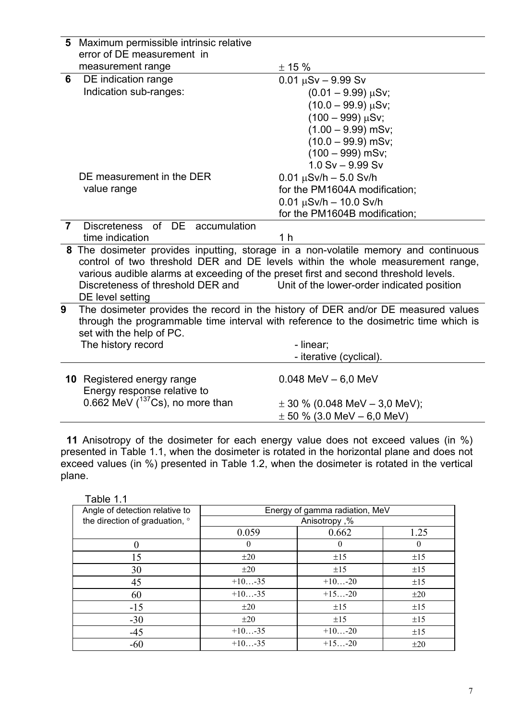|                | 5 Maximum permissible intrinsic relative                                                                                  |                                                                                       |  |
|----------------|---------------------------------------------------------------------------------------------------------------------------|---------------------------------------------------------------------------------------|--|
|                | error of DE measurement in                                                                                                |                                                                                       |  |
|                | measurement range                                                                                                         | ± 15%                                                                                 |  |
| 6              | DE indication range                                                                                                       | $0.01 \mu Sv - 9.99 Sv$                                                               |  |
|                | Indication sub-ranges:                                                                                                    | $(0.01 - 9.99) \mu Sv;$                                                               |  |
|                |                                                                                                                           | $(10.0 - 99.9) \mu Sv;$                                                               |  |
|                |                                                                                                                           | $(100 - 999)$ µSv;                                                                    |  |
|                |                                                                                                                           | $(1.00 - 9.99)$ mSv;                                                                  |  |
|                |                                                                                                                           | $(10.0 - 99.9)$ mSv;                                                                  |  |
|                |                                                                                                                           | $(100 - 999)$ mSv;                                                                    |  |
|                |                                                                                                                           | $1.0 Sv - 9.99 Sv$                                                                    |  |
|                | DE measurement in the DER                                                                                                 | $0.01 \mu Sv/h - 5.0 \, Sv/h$                                                         |  |
|                | value range                                                                                                               | for the PM1604A modification;                                                         |  |
|                |                                                                                                                           | $0.01 \mu$ Sv/h - 10.0 Sv/h                                                           |  |
|                |                                                                                                                           | for the PM1604B modification;                                                         |  |
| $\overline{7}$ | Discreteness of DE accumulation                                                                                           |                                                                                       |  |
|                | time indication                                                                                                           | 1 <sub>h</sub>                                                                        |  |
|                |                                                                                                                           | 8 The dosimeter provides inputting, storage in a non-volatile memory and continuous   |  |
|                |                                                                                                                           | control of two threshold DER and DE levels within the whole measurement range,        |  |
|                | various audible alarms at exceeding of the preset first and second threshold levels.<br>Discreteness of threshold DER and | Unit of the lower-order indicated position                                            |  |
|                | DE level setting                                                                                                          |                                                                                       |  |
| 9              |                                                                                                                           | The dosimeter provides the record in the history of DER and/or DE measured values     |  |
|                |                                                                                                                           | through the programmable time interval with reference to the dosimetric time which is |  |
|                | set with the help of PC.                                                                                                  |                                                                                       |  |
|                | The history record                                                                                                        | - linear;                                                                             |  |
|                |                                                                                                                           | - iterative (cyclical).                                                               |  |
|                |                                                                                                                           |                                                                                       |  |
|                | <b>10</b> Registered energy range                                                                                         | $0.048$ MeV $- 6.0$ MeV                                                               |  |
|                | Energy response relative to                                                                                               |                                                                                       |  |
|                | $0.662$ MeV ( $137$ Cs), no more than                                                                                     | $\pm$ 30 % (0.048 MeV – 3,0 MeV);                                                     |  |
|                |                                                                                                                           | $\pm$ 50 % (3.0 MeV – 6,0 MeV)                                                        |  |

 **11** Anisotropy of the dosimeter for each energy value does not exceed values (in %) presented in Table 1.1, when the dosimeter is rotated in the horizontal plane and does not exceed values (in %) presented in Table 1.2, when the dosimeter is rotated in the vertical plane.

| Angle of detection relative to | Energy of gamma radiation, MeV |              |          |
|--------------------------------|--------------------------------|--------------|----------|
| the direction of graduation, ° |                                | Anisotropy,% |          |
|                                | 0.059                          | 0.662        | 1.25     |
| $\theta$                       | $\theta$                       | $\theta$     | $\theta$ |
| 15                             | $\pm 20$                       | $\pm 15$     | ±15      |
| 30                             | $\pm 20$                       | $\pm 15$     | ±15      |
| 45                             | $+10 -35$                      | $+10-20$     | ±15      |
| 60                             | $+10 -35$                      | $+15-20$     | $\pm 20$ |
| $-15$                          | $\pm 20$                       | $\pm 15$     | ±15      |
| $-30$                          | $\pm 20$                       | ±15          | ±15      |
| $-45$                          | $+10 -35$                      | $+10-20$     | $\pm 15$ |
| $-60$                          | $+10-35$                       | $+15-20$     | $\pm 20$ |

Table 1.1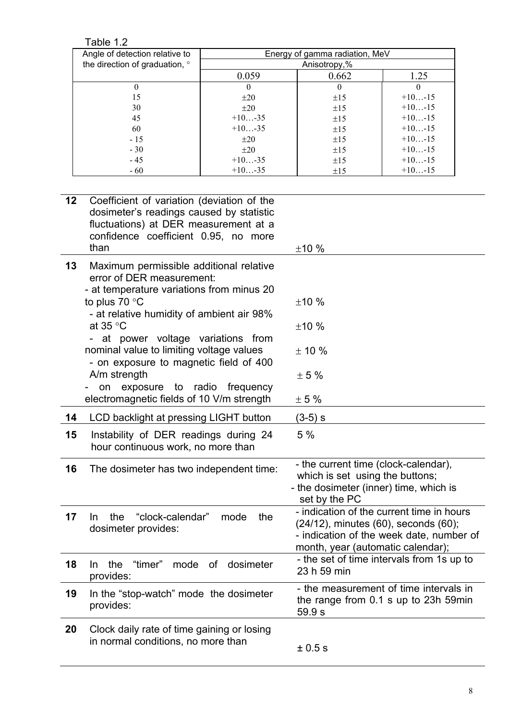Table 1.2

| Angle of detection relative to |           | Energy of gamma radiation, MeV |           |
|--------------------------------|-----------|--------------------------------|-----------|
| the direction of graduation, ° |           | Anisotropy,%                   |           |
|                                | 0.059     | 0.662                          | 1.25      |
|                                | $\theta$  | $\theta$                       |           |
| 15                             | $\pm 20$  | ±15                            | $+10-15$  |
| 30                             | $\pm 20$  | $\pm 15$                       | $+10-15$  |
| 45                             | $+10 -35$ | $\pm 15$                       | $+10-15$  |
| 60                             | $+10 -35$ | ±15                            | $+10-15$  |
| $-15$                          | $\pm 20$  | ±15                            | $+10 -15$ |
| $-30$                          | $\pm 20$  | $\pm 15$                       | $+10 -15$ |
| $-45$                          | $+10 -35$ | $\pm 15$                       | $+10 -15$ |
| $-60$                          | $+10 -35$ | ±15                            | $+10-15$  |

| 12 | Coefficient of variation (deviation of the<br>dosimeter's readings caused by statistic<br>fluctuations) at DER measurement at a<br>confidence coefficient 0.95, no more<br>than | ±10%                                                                                                                                                               |
|----|---------------------------------------------------------------------------------------------------------------------------------------------------------------------------------|--------------------------------------------------------------------------------------------------------------------------------------------------------------------|
| 13 | Maximum permissible additional relative<br>error of DER measurement:<br>- at temperature variations from minus 20                                                               |                                                                                                                                                                    |
|    | to plus 70 $\degree$ C<br>- at relative humidity of ambient air 98%                                                                                                             | ±10%                                                                                                                                                               |
|    | at $35^{\circ}$ C                                                                                                                                                               | ±10%                                                                                                                                                               |
|    | at power voltage variations from<br>nominal value to limiting voltage values<br>- on exposure to magnetic field of 400                                                          | ± 10%                                                                                                                                                              |
|    | A/m strength                                                                                                                                                                    | ± 5%                                                                                                                                                               |
|    | exposure to radio frequency<br>on<br>electromagnetic fields of 10 V/m strength                                                                                                  | $\pm$ 5 %                                                                                                                                                          |
| 14 | LCD backlight at pressing LIGHT button                                                                                                                                          | (3-5) s                                                                                                                                                            |
| 15 | Instability of DER readings during 24<br>hour continuous work, no more than                                                                                                     | 5 %                                                                                                                                                                |
| 16 | The dosimeter has two independent time:                                                                                                                                         | - the current time (clock-calendar),<br>which is set using the buttons;<br>- the dosimeter (inner) time, which is<br>set by the PC                                 |
| 17 | "clock-calendar"<br>In.<br>the<br>mode<br>the<br>dosimeter provides:                                                                                                            | - indication of the current time in hours<br>(24/12), minutes (60), seconds (60);<br>- indication of the week date, number of<br>month, year (automatic calendar); |
| 18 | "timer"<br>the<br>mode<br>of<br>dosimeter<br>In.<br>provides:                                                                                                                   | - the set of time intervals from 1s up to<br>23 h 59 min                                                                                                           |
| 19 | In the "stop-watch" mode the dosimeter<br>provides:                                                                                                                             | - the measurement of time intervals in<br>the range from 0.1 s up to 23h 59min<br>59.9 s                                                                           |
| 20 | Clock daily rate of time gaining or losing<br>in normal conditions, no more than                                                                                                | $\pm 0.5$ S                                                                                                                                                        |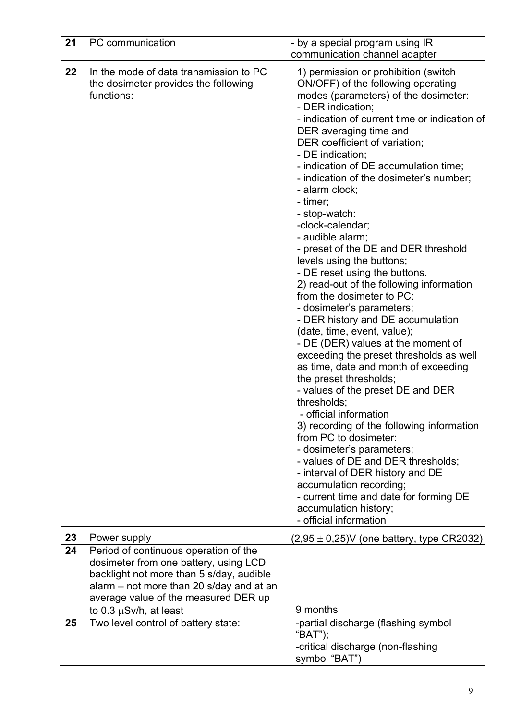| 21 | PC communication                                                                                                                                                                                               | - by a special program using IR<br>communication channel adapter                                                                                                                                                                                                                                                                                                                                                                                                                                                                                                                                                                                                                                                                                                                                                                                                                                                                                                                                                                                                                                                                                                                                                                                                         |
|----|----------------------------------------------------------------------------------------------------------------------------------------------------------------------------------------------------------------|--------------------------------------------------------------------------------------------------------------------------------------------------------------------------------------------------------------------------------------------------------------------------------------------------------------------------------------------------------------------------------------------------------------------------------------------------------------------------------------------------------------------------------------------------------------------------------------------------------------------------------------------------------------------------------------------------------------------------------------------------------------------------------------------------------------------------------------------------------------------------------------------------------------------------------------------------------------------------------------------------------------------------------------------------------------------------------------------------------------------------------------------------------------------------------------------------------------------------------------------------------------------------|
| 22 | In the mode of data transmission to PC<br>the dosimeter provides the following<br>functions:                                                                                                                   | 1) permission or prohibition (switch<br>ON/OFF) of the following operating<br>modes (parameters) of the dosimeter:<br>- DER indication;<br>- indication of current time or indication of<br>DER averaging time and<br>DER coefficient of variation;<br>- DE indication;<br>- indication of DE accumulation time;<br>- indication of the dosimeter's number;<br>- alarm clock;<br>- timer;<br>- stop-watch:<br>-clock-calendar;<br>- audible alarm;<br>- preset of the DE and DER threshold<br>levels using the buttons;<br>- DE reset using the buttons.<br>2) read-out of the following information<br>from the dosimeter to PC:<br>- dosimeter's parameters;<br>- DER history and DE accumulation<br>(date, time, event, value);<br>- DE (DER) values at the moment of<br>exceeding the preset thresholds as well<br>as time, date and month of exceeding<br>the preset thresholds;<br>- values of the preset DE and DER<br>thresholds;<br>- official information<br>3) recording of the following information<br>from PC to dosimeter:<br>- dosimeter's parameters;<br>- values of DE and DER thresholds;<br>- interval of DER history and DE<br>accumulation recording;<br>- current time and date for forming DE<br>accumulation history;<br>- official information |
| 23 | Power supply                                                                                                                                                                                                   | $(2,95 \pm 0,25)$ V (one battery, type CR2032)                                                                                                                                                                                                                                                                                                                                                                                                                                                                                                                                                                                                                                                                                                                                                                                                                                                                                                                                                                                                                                                                                                                                                                                                                           |
| 24 | Period of continuous operation of the<br>dosimeter from one battery, using LCD<br>backlight not more than 5 s/day, audible<br>alarm – not more than 20 s/day and at an<br>average value of the measured DER up | 9 months                                                                                                                                                                                                                                                                                                                                                                                                                                                                                                                                                                                                                                                                                                                                                                                                                                                                                                                                                                                                                                                                                                                                                                                                                                                                 |
| 25 | to 0.3 $\mu$ Sv/h, at least<br>Two level control of battery state:                                                                                                                                             | -partial discharge (flashing symbol<br>"BAT");<br>-critical discharge (non-flashing<br>symbol "BAT")                                                                                                                                                                                                                                                                                                                                                                                                                                                                                                                                                                                                                                                                                                                                                                                                                                                                                                                                                                                                                                                                                                                                                                     |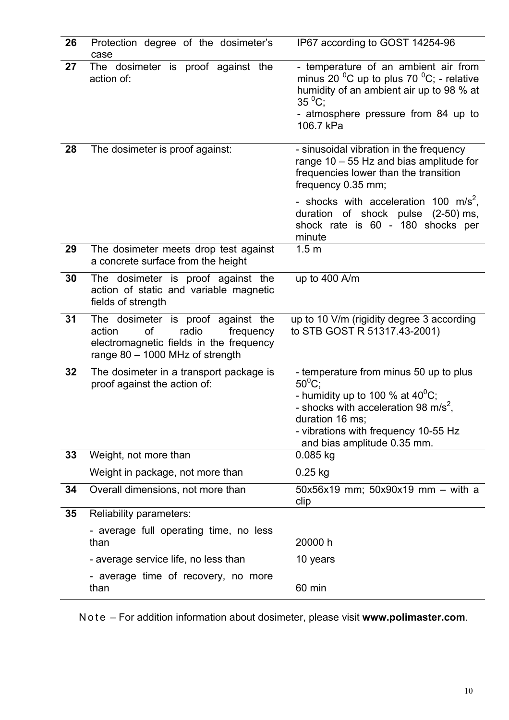| 26 | Protection degree of the dosimeter's<br>case                                                                                                             | IP67 according to GOST 14254-96                                                                                                                                                                                                                |
|----|----------------------------------------------------------------------------------------------------------------------------------------------------------|------------------------------------------------------------------------------------------------------------------------------------------------------------------------------------------------------------------------------------------------|
| 27 | The dosimeter is proof against the<br>action of:                                                                                                         | - temperature of an ambient air from<br>minus 20 $^0$ C up to plus 70 $^0$ C; - relative<br>humidity of an ambient air up to 98 % at<br>$35\,^0C$ ;<br>- atmosphere pressure from 84 up to<br>106.7 kPa                                        |
| 28 | The dosimeter is proof against:                                                                                                                          | - sinusoidal vibration in the frequency<br>range $10 - 55$ Hz and bias amplitude for<br>frequencies lower than the transition<br>frequency 0.35 mm;                                                                                            |
|    |                                                                                                                                                          | - shocks with acceleration 100 m/s <sup>2</sup> ,<br>duration of shock pulse (2-50) ms,<br>shock rate is 60 - 180 shocks per<br>minute                                                                                                         |
| 29 | The dosimeter meets drop test against<br>a concrete surface from the height                                                                              | 1.5 <sub>m</sub>                                                                                                                                                                                                                               |
| 30 | The dosimeter is proof against the<br>action of static and variable magnetic<br>fields of strength                                                       | up to $400$ A/m                                                                                                                                                                                                                                |
| 31 | The dosimeter is proof against the<br>action<br>of<br>radio<br>frequency<br>electromagnetic fields in the frequency<br>range $80 - 1000$ MHz of strength | up to 10 V/m (rigidity degree 3 according<br>to STB GOST R 51317.43-2001)                                                                                                                                                                      |
| 32 | The dosimeter in a transport package is<br>proof against the action of:                                                                                  | - temperature from minus 50 up to plus<br>$50^0C$ ;<br>- humidity up to 100 % at $40^{\circ}$ C;<br>- shocks with acceleration 98 m/s <sup>2</sup> ,<br>duration 16 ms;<br>- vibrations with frequency 10-55 Hz<br>and bias amplitude 0.35 mm. |
| 33 | Weight, not more than                                                                                                                                    | 0.085 kg                                                                                                                                                                                                                                       |
|    | Weight in package, not more than                                                                                                                         | $0.25$ kg                                                                                                                                                                                                                                      |
| 34 | Overall dimensions, not more than                                                                                                                        | $50x56x19$ mm; $50x90x19$ mm - with a<br>clip                                                                                                                                                                                                  |
| 35 | Reliability parameters:                                                                                                                                  |                                                                                                                                                                                                                                                |
|    | - average full operating time, no less<br>than                                                                                                           | 20000 h                                                                                                                                                                                                                                        |
|    | - average service life, no less than                                                                                                                     | 10 years                                                                                                                                                                                                                                       |
|    | - average time of recovery, no more<br>than                                                                                                              | 60 min                                                                                                                                                                                                                                         |

N o t e – For addition information about dosimeter, please visit **www.polimaster.com**.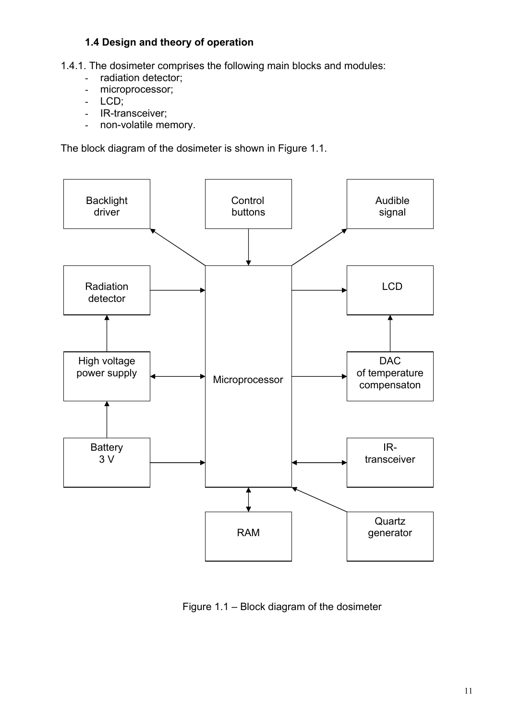## **1.4 Design and theory of operation**

1.4.1. The dosimeter comprises the following main blocks and modules:

- radiation detector;
- microprocessor;
- LCD;
- IR-transceiver;
- non-volatile memory.

The block diagram of the dosimeter is shown in Figure 1.1.



Figure 1.1 – Block diagram of the dosimeter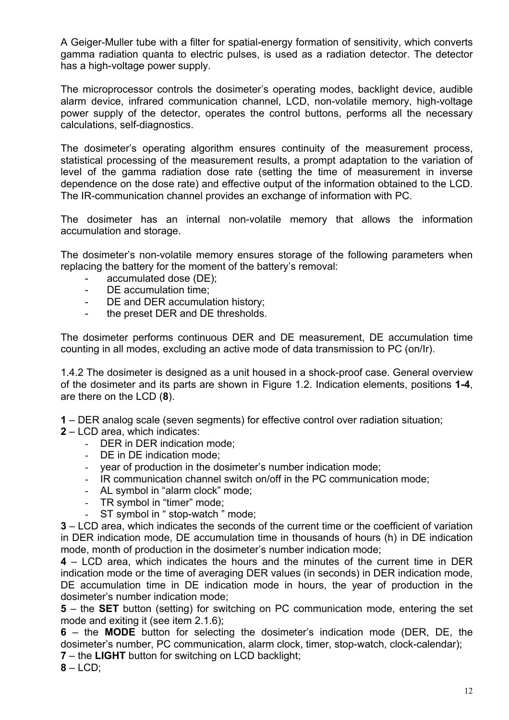A Geiger-Muller tube with a filter for spatial-energy formation of sensitivity, which converts gamma radiation quanta to electric pulses, is used as a radiation detector. The detector has a high-voltage power supply.

The microprocessor controls the dosimeter's operating modes, backlight device, audible alarm device, infrared communication channel, LCD, non-volatile memory, high-voltage power supply of the detector, operates the control buttons, performs all the necessary calculations, self-diagnostics.

The dosimeter's operating algorithm ensures continuity of the measurement process, statistical processing of the measurement results, a prompt adaptation to the variation of level of the gamma radiation dose rate (setting the time of measurement in inverse dependence on the dose rate) and effective output of the information obtained to the LCD. The IR-communication channel provides an exchange of information with PC.

The dosimeter has an internal non-volatile memory that allows the information accumulation and storage.

The dosimeter's non-volatile memory ensures storage of the following parameters when replacing the battery for the moment of the battery's removal:

- accumulated dose (DE);
- DE accumulation time;
- DE and DER accumulation history;
- the preset DER and DE thresholds.

The dosimeter performs continuous DER and DE measurement, DE accumulation time counting in all modes, excluding an active mode of data transmission to PC (on/Ir).

1.4.2 The dosimeter is designed as a unit housed in a shock-proof case. General overview of the dosimeter and its parts are shown in Figure 1.2. Indication elements, positions **1-4**, are there on the LCD (**8**).

**1** – DER analog scale (seven segments) for effective control over radiation situation;

- **2** LCD area, which indicates:
	- DER in DER indication mode;
	- DE in DE indication mode;
	- year of production in the dosimeter's number indication mode;
	- IR communication channel switch on/off in the PC communication mode;
	- AL symbol in "alarm clock" mode;
	- TR symbol in "timer" mode;
	- ST symbol in " stop-watch " mode;

**3** – LCD area, which indicates the seconds of the current time or the coefficient of variation in DER indication mode, DE accumulation time in thousands of hours (h) in DE indication mode, month of production in the dosimeter's number indication mode;

**4** – LCD area, which indicates the hours and the minutes of the current time in DER indication mode or the time of averaging DER values (in seconds) in DER indication mode, DE accumulation time in DE indication mode in hours, the year of production in the dosimeter's number indication mode;

**5** – the **SET** button (setting) for switching on PC communication mode, entering the set mode and exiting it (see item 2.1.6);

**6** – the **MODE** button for selecting the dosimeter's indication mode (DER, DE, the dosimeter's number, PC communication, alarm clock, timer, stop-watch, clock-calendar);

**7** – the **LIGHT** button for switching on LCD backlight;

**8** – LCD;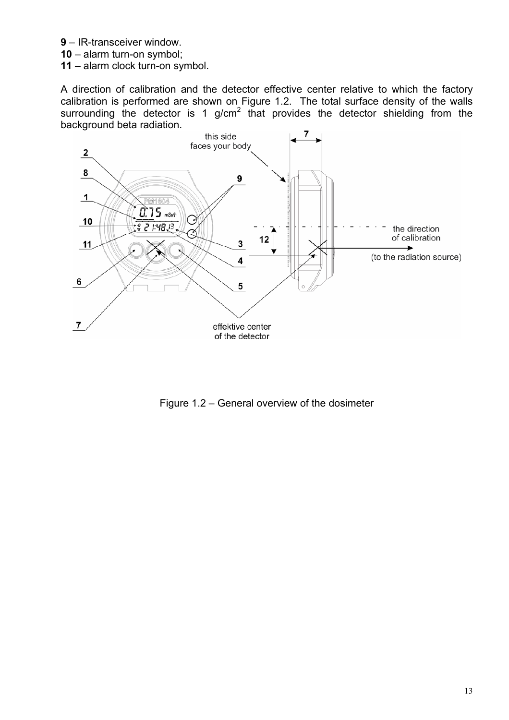- **9** IR-transceiver window.
- **10** alarm turn-on symbol;
- **11** alarm clock turn-on symbol.

A direction of calibration and the detector effective center relative to which the factory calibration is performed are shown on Figure 1.2. The total surface density of the walls surrounding the detector is 1 g/cm<sup>2</sup> that provides the detector shielding from the background beta radiation.



Figure 1.2 – General overview of the dosimeter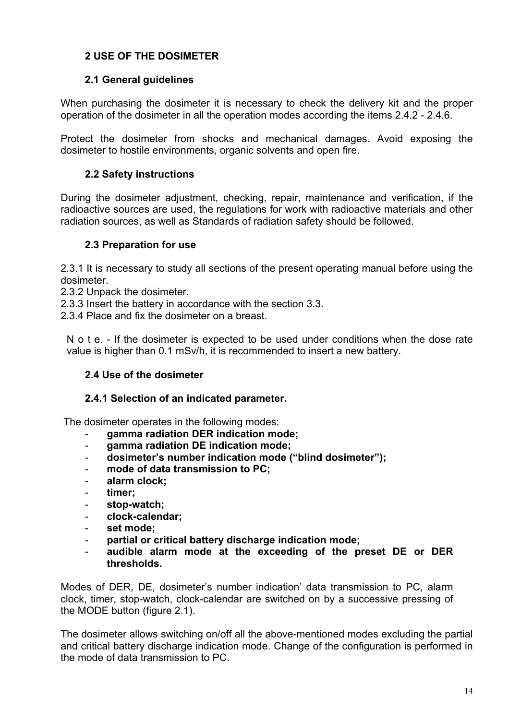## **2 USE OF THE DOSIMETER**

## **2.1 General guidelines**

When purchasing the dosimeter it is necessary to check the delivery kit and the proper operation of the dosimeter in all the operation modes according the items 2.4.2 - 2.4.6.

Protect the dosimeter from shocks and mechanical damages. Avoid exposing the dosimeter to hostile environments, organic solvents and open fire.

## **2.2 Safety instructions**

During the dosimeter adjustment, checking, repair, maintenance and verification, if the radioactive sources are used, the regulations for work with radioactive materials and other radiation sources, as well as Standards of radiation safety should be followed.

#### **2.3 Preparation for use**

2.3.1 It is necessary to study all sections of the present operating manual before using the dosimeter.

2.3.2 Unpack the dosimeter.

2.3.3 Insert the battery in accordance with the section 3.3.

2.3.4 Place and fix the dosimeter on a breast.

N o t e. - If the dosimeter is expected to be used under conditions when the dose rate value is higher than 0.1 mSv/h, it is recommended to insert a new battery.

#### **2.4 Use of the dosimeter**

#### **2.4.1 Selection of an indicated parameter.**

The dosimeter operates in the following modes:

- **gamma radiation DER indication mode;**
- **gamma radiation DE indication mode;**
- **dosimeter's number indication mode ("blind dosimeter");**
- **mode of data transmission to PC;**
- **alarm clock;**
- **timer;**
- **stop-watch;**
- **clock-calendar;**
- **set mode;**
- **partial or critical battery discharge indication mode;**
- **audible alarm mode at the exceeding of the preset DE or DER thresholds.**

Modes of DER, DE, dosimeter's number indication' data transmission to PC, alarm clock, timer, stop-watch, clock-calendar are switched on by a successive pressing of the MODE button (figure 2.1).

The dosimeter allows switching on/off all the above-mentioned modes excluding the partial and critical battery discharge indication mode. Change of the configuration is performed in the mode of data transmission to PC.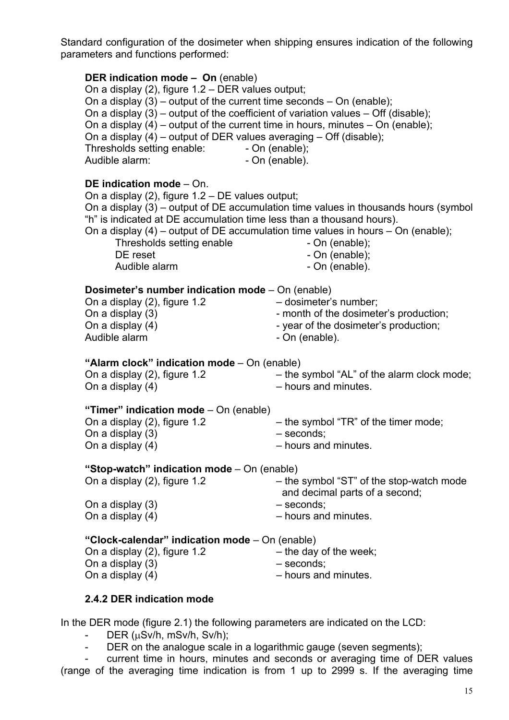Standard configuration of the dosimeter when shipping ensures indication of the following parameters and functions performed:

#### **DER indication mode – On** (enable)

On a display (2), figure 1.2 – DER values output; On a display  $(3)$  – output of the current time seconds – On (enable); On a display  $(3)$  – output of the coefficient of variation values – Off (disable); On a display  $(4)$  – output of the current time in hours, minutes – On (enable); On a display (4) – output of DER values averaging – Off (disable); Thresholds setting enable: - On (enable); Audible alarm:  $\blacksquare$  - On (enable).

#### **DE indication mode** – On.

On a display (2), figure 1.2 – DE values output; On a display (3) – output of DE accumulation time values in thousands hours (symbol "h" is indicated at DE accumulation time less than a thousand hours). On a display (4) – output of DE accumulation time values in hours – On (enable); Thresholds setting enable Thresholds setting enable DE reset - On (enable); Audible alarm - On (enable). **Dosimeter's number indication mode** – On (enable) On a display (2), figure 1.2 – dosimeter's number; On a display (3)  $\blacksquare$  - month of the dosimeter's production; On a display (4)  $\blacksquare$  - year of the dosimeter's production: Audible alarm - On (enable). **"Alarm clock" indication mode** – On (enable) On a display (2), figure 1.2 – he symbol "AL" of the alarm clock mode; On a display (4) – hours and minutes. **"Timer" indication mode** – On (enable) On a display (2), figure 1.2  $\qquad \qquad -$  the symbol "TR" of the timer mode; On a display (3) – seconds; On a display (4) – hours and minutes. **"Stop-watch" indication mode** – On (enable) On a display (2), figure 1.2  $-$  the symbol "ST" of the stop-watch mode and decimal parts of a second; On a display (3) – seconds; On a display (4) – hours and minutes.

# **"Clock-calendar" indication mode** – On (enable)

- On a display  $(2)$ , figure 1.2  $-$  the day of the week; On a display (3)  $-$  seconds; On a display (4) – hours and minutes.
- -
	-

#### **2.4.2 DER indication mode**

In the DER mode (figure 2.1) the following parameters are indicated on the LCD:

- DER (µSv/h, mSv/h, Sv/h);
- DER on the analogue scale in a logarithmic gauge (seven segments);

current time in hours, minutes and seconds or averaging time of DER values (range of the averaging time indication is from 1 up to 2999 s. If the averaging time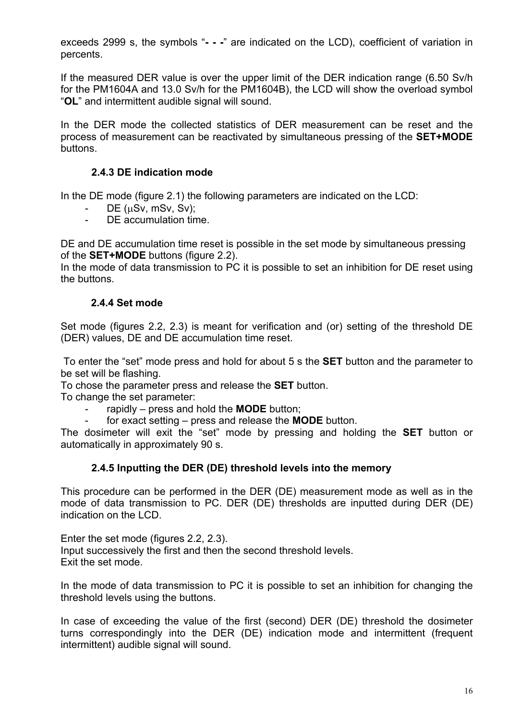exceeds 2999 s, the symbols "**- - -**" are indicated on the LCD), coefficient of variation in percents.

If the measured DER value is over the upper limit of the DER indication range (6.50 Sv/h for the РМ1604A and 13.0 Sv/h for the РМ1604B), the LCD will show the overload symbol "**OL**" and intermittent audible signal will sound.

In the DER mode the collected statistics of DER measurement can be reset and the process of measurement can be reactivated by simultaneous pressing of the **SET+MODE** buttons.

## **2.4.3 DE indication mode**

In the DE mode (figure 2.1) the following parameters are indicated on the LCD:

- DE (µSv, mSv, Sv);
- DE accumulation time.

DE and DE accumulation time reset is possible in the set mode by simultaneous pressing of the **SET+MODE** buttons (figure 2.2).

In the mode of data transmission to PC it is possible to set an inhibition for DE reset using the buttons.

## **2.4.4 Set mode**

Set mode (figures 2.2, 2.3) is meant for verification and (or) setting of the threshold DE (DER) values, DE and DE accumulation time reset.

To enter the "set" mode press and hold for about 5 s the **SET** button and the parameter to be set will be flashing.

To chose the parameter press and release the **SET** button.

To change the set parameter:

- rapidly press and hold the **MODE** button;
	- for exact setting press and release the **MODE** button.

The dosimeter will exit the "set" mode by pressing and holding the **SET** button or automatically in approximately 90 s.

## **2.4.5 Inputting the DER (DE) threshold levels into the memory**

This procedure can be performed in the DER (DE) measurement mode as well as in the mode of data transmission to PC. DER (DE) thresholds are inputted during DER (DE) indication on the LCD.

Enter the set mode (figures 2.2, 2.3). Input successively the first and then the second threshold levels. Exit the set mode.

In the mode of data transmission to PC it is possible to set an inhibition for changing the threshold levels using the buttons.

In case of exceeding the value of the first (second) DER (DE) threshold the dosimeter turns correspondingly into the DER (DE) indication mode and intermittent (frequent intermittent) audible signal will sound.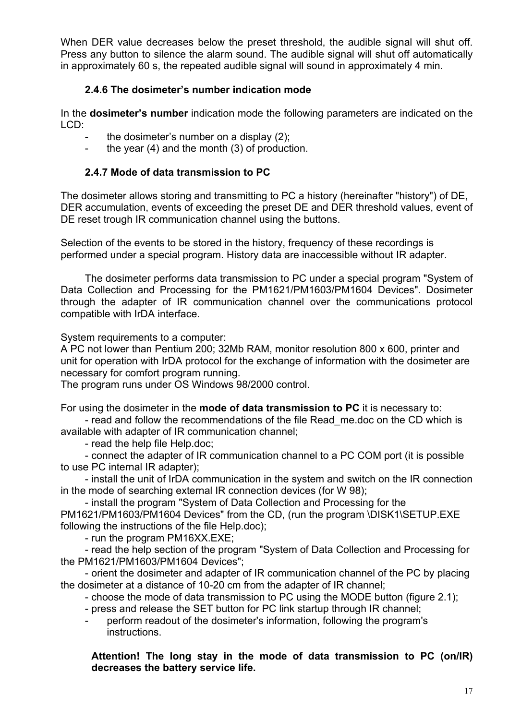When DER value decreases below the preset threshold, the audible signal will shut off. Press any button to silence the alarm sound. The audible signal will shut off automatically in approximately 60 s, the repeated audible signal will sound in approximately 4 min.

## **2.4.6 The dosimeter's number indication mode**

In the **dosimeter's number** indication mode the following parameters are indicated on the LCD:

- the dosimeter's number on a display (2);
- the year (4) and the month (3) of production.

## **2.4.7 Mode of data transmission to PC**

The dosimeter allows storing and transmitting to PC a history (hereinafter "history") of DE, DER accumulation, events of exceeding the preset DE and DER threshold values, event of DE reset trough IR communication channel using the buttons.

Selection of the events to be stored in the history, frequency of these recordings is performed under a special program. History data are inaccessible without IR adapter.

The dosimeter performs data transmission to PC under a special program "System of Data Collection and Processing for the PM1621/PM1603/PM1604 Devices". Dosimeter through the adapter of IR communication channel over the communications protocol compatible with IrDA interface.

System requirements to a computer:

A PC not lower than Pentium 200; 32Мb RAM, monitor resolution 800 х 600, printer and unit for operation with IrDA protocol for the exchange of information with the dosimeter are necessary for comfort program running.

The program runs under OS Windows 98/2000 control.

For using the dosimeter in the **mode of data transmission to PC** it is necessary to:

- read and follow the recommendations of the file Read\_me.doc on the CD which is available with adapter of IR communication channel;

- read the help file Help.doc;

- connect the adapter of IR communication channel to a PC COM port (it is possible to use PC internal IR adapter);

- install the unit of IrDA communication in the system and switch on the IR connection in the mode of searching external IR connection devices (for W 98);

- install the program "System of Data Collection and Processing for the

PM1621/PM1603/PM1604 Devices" from the CD, (run the program \DISK1\SETUP.EXE following the instructions of the file Help.doc);

- run the program PM16XX.EXE;

- read the help section of the program "System of Data Collection and Processing for the PM1621/PM1603/PM1604 Devices";

- orient the dosimeter and adapter of IR communication channel of the PC by placing the dosimeter at a distance of 10-20 cm from the adapter of IR channel;

- choose the mode of data transmission to PC using the MODE button (figure 2.1);

- press and release the SET button for PC link startup through IR channel;

perform readout of the dosimeter's information, following the program's instructions.

**Attention! The long stay in the mode of data transmission to PC (on/IR) decreases the battery service life.**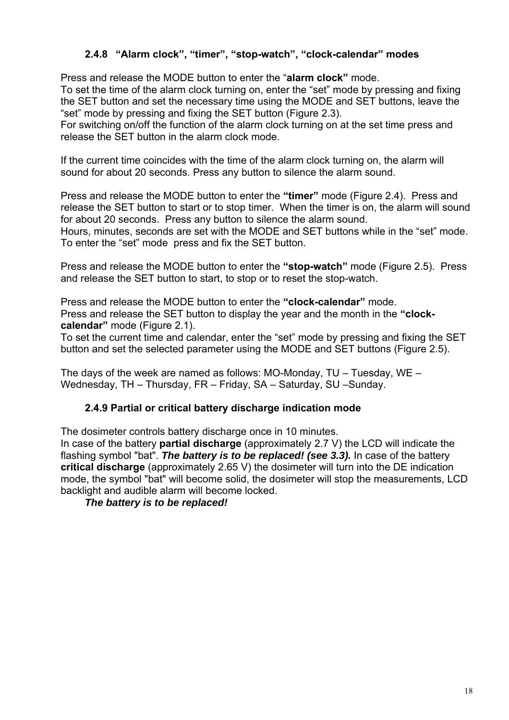## **2.4.8 "Alarm clock", "timer", "stop-watch", "clock-calendar" modes**

Press and release the MODE button to enter the "**alarm clock"** mode.

To set the time of the alarm clock turning on, enter the "set" mode by pressing and fixing the SET button and set the necessary time using the MODE and SET buttons, leave the "set" mode by pressing and fixing the SET button (Figure 2.3).

For switching on/off the function of the alarm clock turning on at the set time press and release the SET button in the alarm clock mode.

If the current time coincides with the time of the alarm clock turning on, the alarm will sound for about 20 seconds. Press any button to silence the alarm sound.

Press and release the MODE button to enter the **"timer"** mode (Figure 2.4). Press and release the SET button to start or to stop timer. When the timer is on, the alarm will sound for about 20 seconds. Press any button to silence the alarm sound.

Hours, minutes, seconds are set with the MODE and SET buttons while in the "set" mode. To enter the "set" mode press and fix the SET button.

Press and release the MODE button to enter the **"stop-watch"** mode (Figure 2.5). Press and release the SET button to start, to stop or to reset the stop-watch.

Press and release the MODE button to enter the **"clock-calendar"** mode. Press and release the SET button to display the year and the month in the **"clockcalendar"** mode (Figure 2.1).

To set the current time and calendar, enter the "set" mode by pressing and fixing the SET button and set the selected parameter using the MODE and SET buttons (Figure 2.5).

The days of the week are named as follows: MO-Monday, TU – Tuesday, WE – Wednesday, TH – Thursday, FR – Friday, SA – Saturday, SU –Sunday.

## **2.4.9 Partial or critical battery discharge indication mode**

The dosimeter controls battery discharge once in 10 minutes.

In case of the battery **partial discharge** (approximately 2.7 V) the LCD will indicate the flashing symbol "bat". *The battery is to be replaced! (see 3.3).* In case of the battery **critical discharge** (approximately 2.65 V) the dosimeter will turn into the DE indication mode, the symbol "bat" will become solid, the dosimeter will stop the measurements, LCD backlight and audible alarm will become locked.

*The battery is to be replaced!*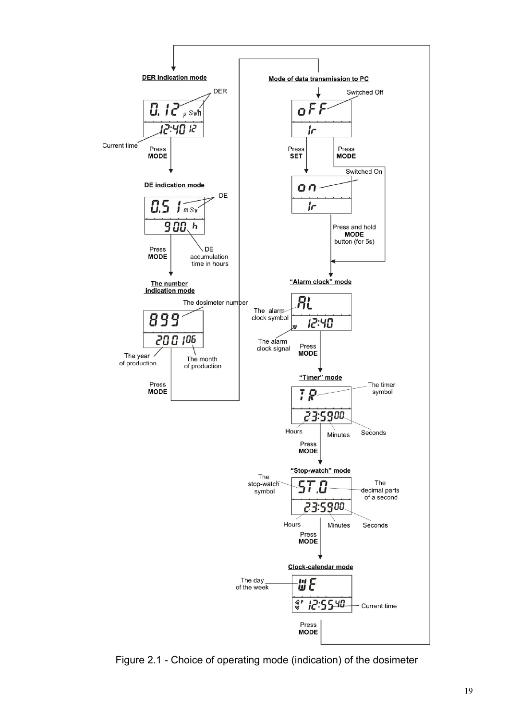

Figure 2.1 - Choice of operating mode (indication) of the dosimeter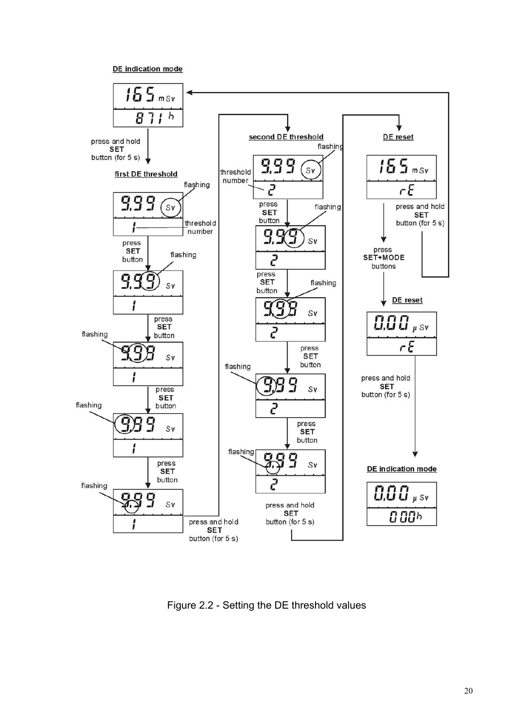DE indication mode



Figure 2.2 - Setting the DE threshold values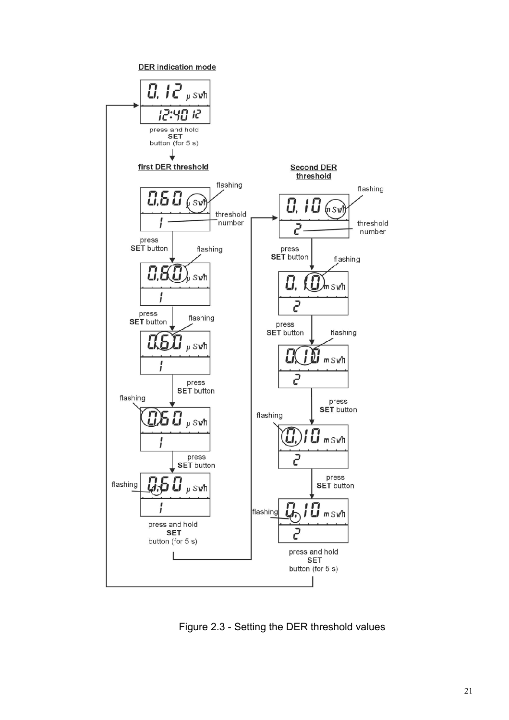

Figure 2.3 - Setting the DER threshold values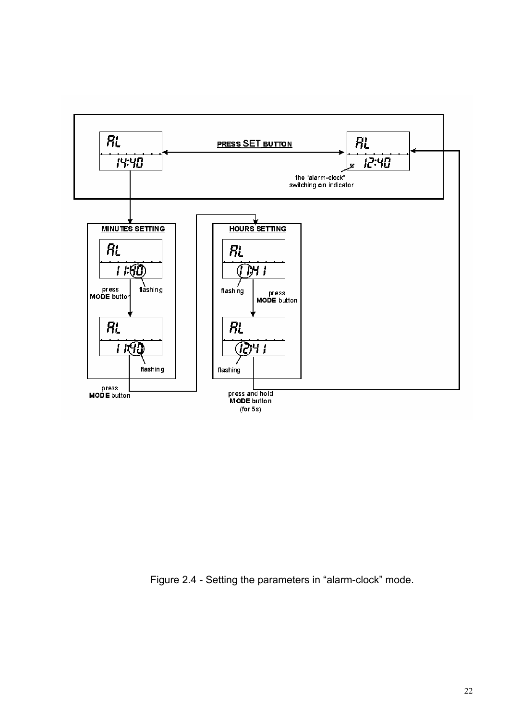

Figure 2.4 - Setting the parameters in "alarm-clock" mode.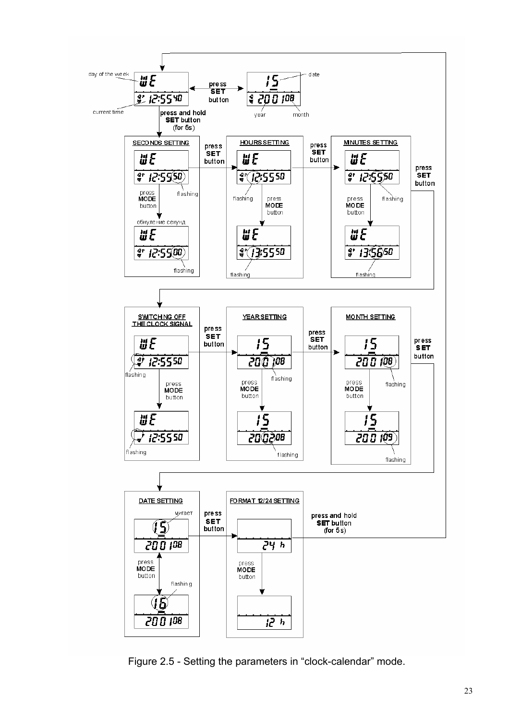

Figure 2.5 - Setting the parameters in "clock-calendar" mode.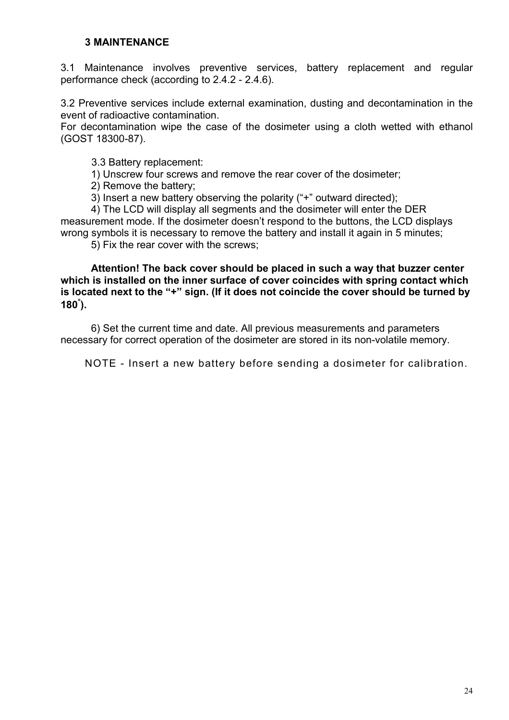#### **3 MAINTENANCE**

3.1 Maintenance involves preventive services, battery replacement and regular performance check (according to 2.4.2 - 2.4.6).

3.2 Preventive services include external examination, dusting and decontamination in the event of radioactive contamination.

For decontamination wipe the case of the dosimeter using a cloth wetted with ethanol (GOST 18300-87).

3.3 Battery replacement:

1) Unscrew four screws and remove the rear cover of the dosimeter;

2) Remove the battery;

3) Insert a new battery observing the polarity ("+" outward directed);

4) The LCD will display all segments and the dosimeter will enter the DER measurement mode. If the dosimeter doesn't respond to the buttons, the LCD displays wrong symbols it is necessary to remove the battery and install it again in 5 minutes;

5) Fix the rear cover with the screws;

**Attention! The back cover should be placed in such a way that buzzer center which is installed on the inner surface of cover coincides with spring contact which is located next to the "+" sign. (If it does not coincide the cover should be turned by 180**° **).** 

6) Set the current time and date. All previous measurements and parameters necessary for correct operation of the dosimeter are stored in its non-volatile memory.

NOTE - Insert a new battery before sending a dosimeter for calibration.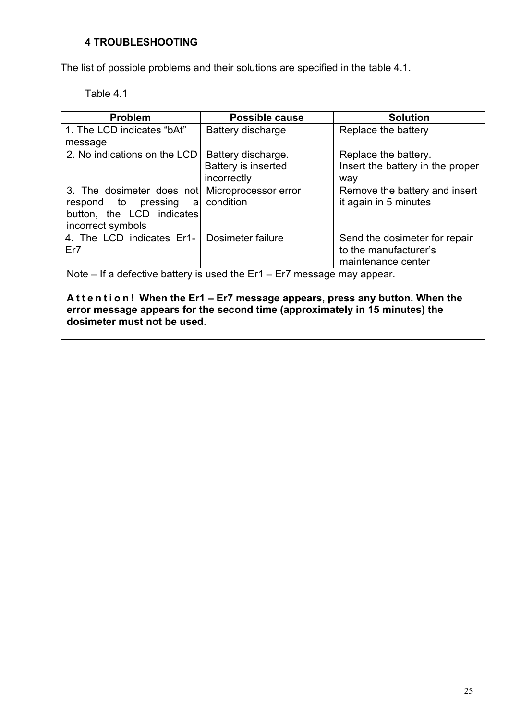## **4 TROUBLESHOOTING**

The list of possible problems and their solutions are specified in the table 4.1.

Table 4.1

| <b>Problem</b>                                                            | <b>Possible cause</b> | <b>Solution</b>                  |
|---------------------------------------------------------------------------|-----------------------|----------------------------------|
| 1. The LCD indicates "bAt"                                                | Battery discharge     | Replace the battery              |
| message                                                                   |                       |                                  |
| 2. No indications on the LCD                                              | Battery discharge.    | Replace the battery.             |
|                                                                           | Battery is inserted   | Insert the battery in the proper |
|                                                                           | incorrectly           | way                              |
| 3. The dosimeter does not                                                 | Microprocessor error  | Remove the battery and insert    |
| respond to pressing<br>a                                                  | condition             | it again in 5 minutes            |
| button, the LCD indicates                                                 |                       |                                  |
| incorrect symbols                                                         |                       |                                  |
| 4. The LCD indicates Er1-                                                 | Dosimeter failure     | Send the dosimeter for repair    |
| Er7                                                                       |                       | to the manufacturer's            |
|                                                                           |                       | maintenance center               |
| Note – If a defective battery is used the $Er1 - Er7$ message may appear. |                       |                                  |

**A t t e n t i o n ! When the Er1 – Er7 message appears, press any button. When the error message appears for the second time (approximately in 15 minutes) the dosimeter must not be used**.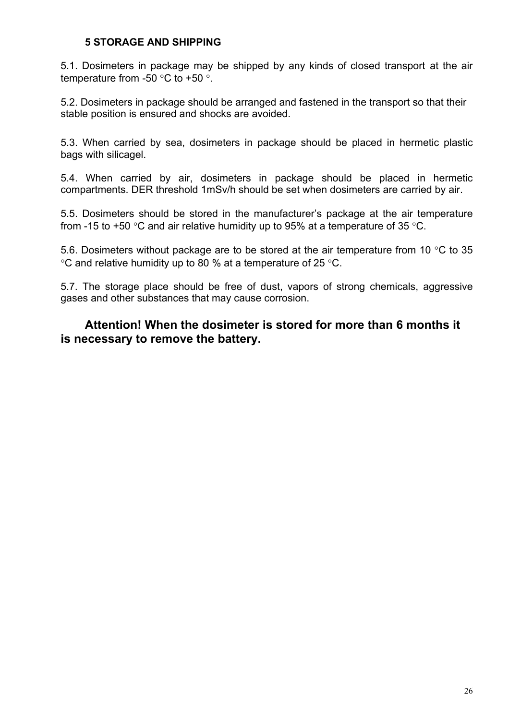## **5 STORAGE AND SHIPPING**

5.1. Dosimeters in package may be shipped by any kinds of closed transport at the air temperature from -50 °C to +50 °.

5.2. Dosimeters in package should be arranged and fastened in the transport so that their stable position is ensured and shocks are avoided.

5.3. When carried by sea, dosimeters in package should be placed in hermetic plastic bags with silicagel.

5.4. When carried by air, dosimeters in package should be placed in hermetic compartments. DER threshold 1mSv/h should be set when dosimeters are carried by air.

5.5. Dosimeters should be stored in the manufacturer's package at the air temperature from -15 to +50 °C and air relative humidity up to 95% at a temperature of 35 °C.

5.6. Dosimeters without package are to be stored at the air temperature from 10 °C to 35 °C and relative humidity up to 80 % at a temperature of 25 °C.

5.7. The storage place should be free of dust, vapors of strong chemicals, aggressive gases and other substances that may cause corrosion.

## **Attention! When the dosimeter is stored for more than 6 months it is necessary to remove the battery.**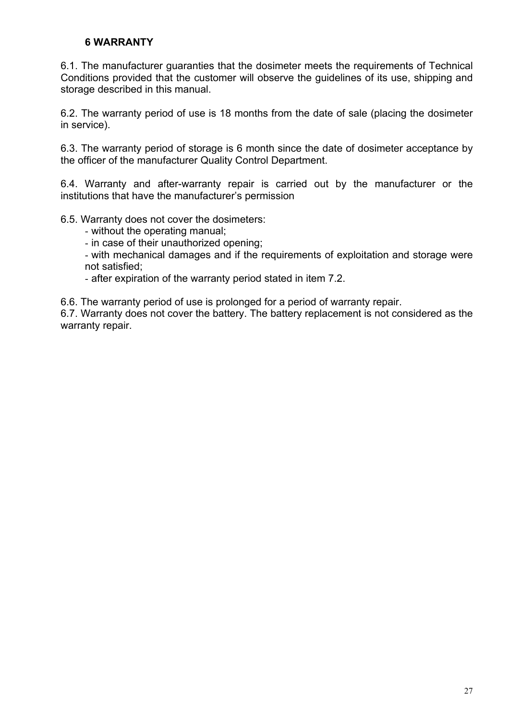## **6 WARRANTY**

6.1. The manufacturer guaranties that the dosimeter meets the requirements of Technical Conditions provided that the customer will observe the guidelines of its use, shipping and storage described in this manual.

6.2. The warranty period of use is 18 months from the date of sale (placing the dosimeter in service).

6.3. The warranty period of storage is 6 month since the date of dosimeter acceptance by the officer of the manufacturer Quality Control Department.

6.4. Warranty and after-warranty repair is carried out by the manufacturer or the institutions that have the manufacturer's permission

6.5. Warranty does not cover the dosimeters:

- without the operating manual;

- in case of their unauthorized opening;

- with mechanical damages and if the requirements of exploitation and storage were not satisfied;

- after expiration of the warranty period stated in item 7.2.

6.6. The warranty period of use is prolonged for a period of warranty repair.

6.7. Warranty does not cover the battery. The battery replacement is not considered as the warranty repair.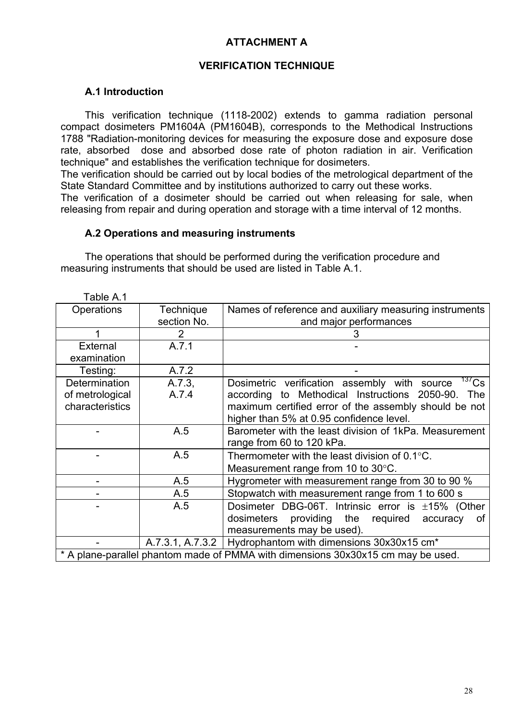## **ATTACHMENT A**

## **VERIFICATION TECHNIQUE**

#### **A.1 Introduction**

This verification technique (1118-2002) extends to gamma radiation personal compact dosimeters PM1604A (PM1604B), corresponds to the Methodical Instructions 1788 "Radiation-monitoring devices for measuring the exposure dose and exposure dose rate, absorbed dose and absorbed dose rate of photon radiation in air. Verification technique" and establishes the verification technique for dosimeters.

The verification should be carried out by local bodies of the metrological department of the State Standard Committee and by institutions authorized to carry out these works.

The verification of a dosimeter should be carried out when releasing for sale, when releasing from repair and during operation and storage with a time interval of 12 months.

#### **A.2 Operations and measuring instruments**

The operations that should be performed during the verification procedure and measuring instruments that should be used are listed in Table A.1.

| Fable A.1                                                                        |                  |                                                                            |
|----------------------------------------------------------------------------------|------------------|----------------------------------------------------------------------------|
| Operations                                                                       | <b>Technique</b> | Names of reference and auxiliary measuring instruments                     |
|                                                                                  | section No.      | and major performances                                                     |
|                                                                                  | $\overline{2}$   |                                                                            |
| External                                                                         | A.7.1            |                                                                            |
| examination                                                                      |                  |                                                                            |
| Testing:                                                                         | A.7.2            |                                                                            |
| Determination                                                                    | A.7.3            | $\frac{137}{137}$ Cs<br>Dosimetric verification assembly with source       |
| of metrological                                                                  | A.7.4            | according to Methodical Instructions 2050-90.<br>The                       |
| characteristics                                                                  |                  | maximum certified error of the assembly should be not                      |
|                                                                                  |                  | higher than 5% at 0.95 confidence level.                                   |
|                                                                                  | A.5              | Barometer with the least division of 1kPa. Measurement                     |
|                                                                                  |                  | range from 60 to 120 kPa.                                                  |
|                                                                                  | A.5              | Thermometer with the least division of $0.1^{\circ}$ C.                    |
|                                                                                  |                  | Measurement range from 10 to $30^{\circ}$ C.                               |
|                                                                                  | A.5              | Hygrometer with measurement range from 30 to 90 %                          |
|                                                                                  | A.5              | Stopwatch with measurement range from 1 to 600 s                           |
|                                                                                  | A.5              | Dosimeter DBG-06T. Intrinsic error is $\pm 15\%$ (Other                    |
|                                                                                  |                  | dosimeters providing the required<br>οf<br>accuracy                        |
|                                                                                  |                  | measurements may be used).                                                 |
|                                                                                  |                  | A.7.3.1, A.7.3.2   Hydrophantom with dimensions $30x30x15$ cm <sup>*</sup> |
| * A plane-parallel phantom made of PMMA with dimensions 30x30x15 cm may be used. |                  |                                                                            |
|                                                                                  |                  |                                                                            |

Table A.1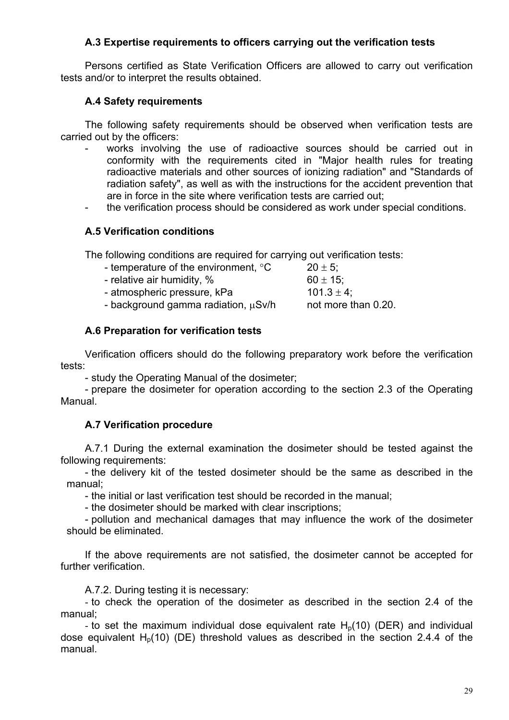## **A.3 Expertise requirements to officers carrying out the verification tests**

Persons certified as State Verification Officers are allowed to carry out verification tests and/or to interpret the results obtained.

## **A.4 Safety requirements**

The following safety requirements should be observed when verification tests are carried out by the officers:

- works involving the use of radioactive sources should be carried out in conformity with the requirements cited in "Major health rules for treating radioactive materials and other sources of ionizing radiation" and "Standards of radiation safety", as well as with the instructions for the accident prevention that are in force in the site where verification tests are carried out;
- the verification process should be considered as work under special conditions.

## **A.5 Verification conditions**

The following conditions are required for carrying out verification tests:

| - temperature of the environment, $\degree$ C | $20 \pm 5$ ;        |
|-----------------------------------------------|---------------------|
| - relative air humidity, %                    | $60 \pm 15$ ;       |
| - atmospheric pressure, kPa                   | $101.3 \pm 4$ ;     |
| - background gamma radiation, $\mu$ Sv/h      | not more than 0.20. |
|                                               |                     |

## **A.6 Preparation for verification tests**

Verification officers should do the following preparatory work before the verification tests:

- study the Operating Manual of the dosimeter;

- prepare the dosimeter for operation according to the section 2.3 of the Operating Manual.

## **A.7 Verification procedure**

A.7.1 During the external examination the dosimeter should be tested against the following requirements:

- the delivery kit of the tested dosimeter should be the same as described in the manual;

- the initial or last verification test should be recorded in the manual;

- the dosimeter should be marked with clear inscriptions;

- pollution and mechanical damages that may influence the work of the dosimeter should be eliminated.

If the above requirements are not satisfied, the dosimeter cannot be accepted for further verification.

A.7.2. During testing it is necessary:

- to check the operation of the dosimeter as described in the section 2.4 of the manual;

- to set the maximum individual dose equivalent rate  $H<sub>0</sub>(10)$  (DER) and individual dose equivalent  $H<sub>0</sub>(10)$  (DE) threshold values as described in the section 2.4.4 of the manual.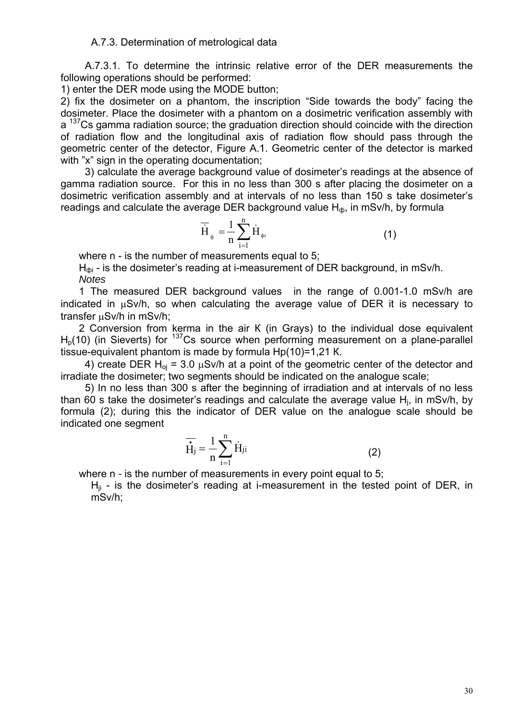#### A.7.3. Determination of metrological data

A.7.3.1. To determine the intrinsic relative error of the DER measurements the following operations should be performed:

1) enter the DER mode using the MODE button;

2) fix the dosimeter on a phantom, the inscription "Side towards the body" facing the dosimeter. Place the dosimeter with a phantom on a dosimetric verification assembly with a <sup>137</sup>Cs gamma radiation source; the graduation direction should coincide with the direction of radiation flow and the longitudinal axis of radiation flow should pass through the geometric center of the detector, Figure A.1. Geometric center of the detector is marked with "x" sign in the operating documentation:

3) calculate the average background value of dosimeter's readings at the absence of gamma radiation source. For this in no less than 300 s after placing the dosimeter on a dosimetric verification assembly and at intervals of no less than 150 s take dosimeter's readings and calculate the average DER background value  $H_{\phi}$ , in mSv/h, by formula

$$
\overline{\dot{H}}_{\phi} = \frac{1}{n} \sum_{i=1}^{n} \dot{H}_{\phi i}
$$
 (1)

where n - is the number of measurements equal to 5;

 $H_{\text{dpi}}$  - is the dosimeter's reading at i-measurement of DER background, in mSv/h. *Notes*

1 The measured DER background values in the range of 0.001-1.0 mSv/h are indicated in  $\mu$ Sv/h, so when calculating the average value of DER it is necessary to transfer µSv/h in mSv/h;

2 Conversion from kerma in the air К (in Grays) to the individual dose equivalent  $H<sub>p</sub>(10)$  (in Sieverts) for  $137$ Cs source when performing measurement on a plane-parallel tissue-equivalent phantom is made by formula Нр(10)=1,21 К.

4) create DER  $H_{oi}$  = 3.0  $\mu$ Sv/h at a point of the geometric center of the detector and irradiate the dosimeter; two segments should be indicated on the analogue scale;

5) In no less than 300 s after the beginning of irradiation and at intervals of no less than 60 s take the dosimeter's readings and calculate the average value Hj, in mSv/h, by formula (2); during this the indicator of DER value on the analogue scale should be indicated one segment

$$
\overline{\dot{H}}_j = \frac{1}{n} \sum_{i=1}^n \dot{H}_{ji}
$$
 (2)

where n *-* is the number of measurements in every point equal to 5;

 $H_{ii}$  - is the dosimeter's reading at i-measurement in the tested point of DER, in mSv/h;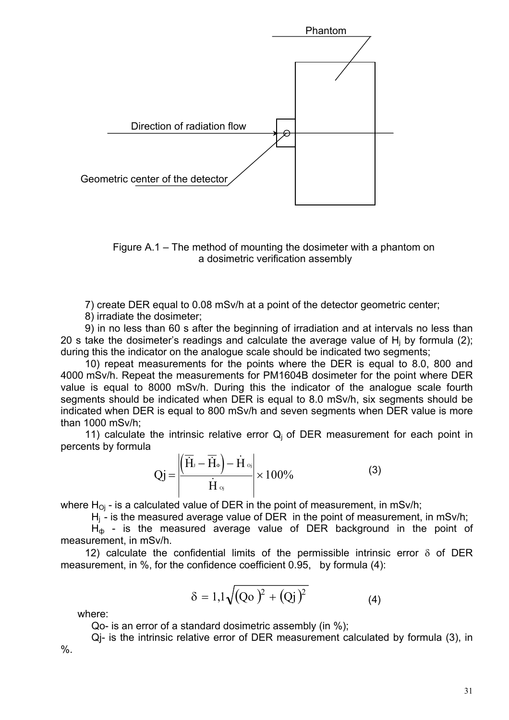

Figure A.1 – The method of mounting the dosimeter with a phantom on a dosimetric verification assembly

7) create DER equal to 0.08 mSv/h at a point of the detector geometric center;

8) irradiate the dosimeter;

9) in no less than 60 s after the beginning of irradiation and at intervals no less than 20 s take the dosimeter's readings and calculate the average value of  $H_i$  by formula (2); during this the indicator on the analogue scale should be indicated two segments;

10) repeat measurements for the points where the DER is equal to 8.0, 800 and 4000 mSv/h. Repeat the measurements for PM1604B dosimeter for the point where DER value is equal to 8000 mSv/h. During this the indicator of the analogue scale fourth segments should be indicated when DER is equal to 8.0 mSv/h, six segments should be indicated when DER is equal to 800 mSv/h and seven segments when DER value is more than 1000 mSv/h;

11) calculate the intrinsic relative error  $Q_i$  of DER measurement for each point in percents by formula

$$
Qj = \frac{\left| \left( \overline{\dot{H}}_1 - \overline{\dot{H}}_0 \right) - \dot{H} \right|}{\dot{H} \circ i} \times 100\%
$$
 (3)

where  $H_{0i}$  - is a calculated value of DER in the point of measurement, in mSv/h;

 $H<sub>i</sub>$  - is the measured average value of DER in the point of measurement, in mSv/h;

 $H_{\phi}$  - is the measured average value of DER background in the point of measurement, in mSv/h.

12) calculate the confidential limits of the permissible intrinsic error  $\delta$  of DER measurement, in %, for the confidence coefficient 0.95, by formula (4):

$$
\delta = 1,1\sqrt{(Qo)^2 + (Qj)^2}
$$
 (4)

where:

Qo- is an error of a standard dosimetric assembly (in %);

Qj- is the intrinsic relative error of DER measurement calculated by formula (3), in  $\%$ .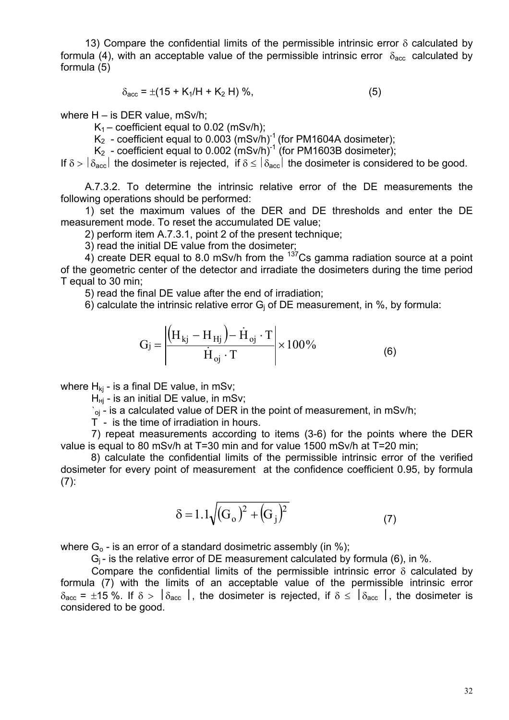13) Compare the confidential limits of the permissible intrinsic error  $\delta$  calculated by formula (4), with an acceptable value of the permissible intrinsic error  $\delta_{\text{acc}}$  calculated by formula (5)

$$
\delta_{\text{acc}} = \pm (15 + K_1/H + K_2 H) \%, \tag{5}
$$

where H – is DER value, mSv/h;

 $K_1$  – coefficient equal to 0.02 (mSv/h);

 $K_2$  - coefficient equal to 0.003 (mSv/h)<sup>-1</sup> (for PM1604A dosimeter);

 $K_2$  - coefficient equal to 0.002 (mSv/h)<sup>-1</sup> (for PM1603B dosimeter);

If  $\delta > |\delta_{\text{acc}}|$  the dosimeter is rejected, if  $\delta \le |\delta_{\text{acc}}|$  the dosimeter is considered to be good.

A.7.3.2. To determine the intrinsic relative error of the DE measurements the following operations should be performed:

1) set the maximum values of the DER and DE thresholds and enter the DE measurement mode. To reset the accumulated DE value;

2) perform item A.7.3.1, point 2 of the present technique;

3) read the initial DE value from the dosimeter;

4) create DER equal to 8.0 mSv/h from the  $137$ Cs gamma radiation source at a point of the geometric center of the detector and irradiate the dosimeters during the time period T equal to 30 min;

5) read the final DE value after the end of irradiation;

6) calculate the intrinsic relative error  $G_i$  of DE measurement, in %, by formula:

$$
G_j = \left| \frac{\left( H_{kj} - H_{Hj} \right) - \dot{H}_{oj} \cdot T}{\dot{H}_{oj} \cdot T} \right| \times 100\% \tag{6}
$$

where  $H_{ki}$  - is a final DE value, in mSv;

 $H_{Hi}$  - is an initial DE value, in mSv;

 $i_{oj}$  - is a calculated value of DER in the point of measurement, in mSv/h;

T - is the time of irradiation in hours.

7) repeat measurements according to items (3-6) for the points where the DER value is equal to 80 mSv/h at T=30 min and for value 1500 mSv/h at T=20 min;

8) calculate the confidential limits of the permissible intrinsic error of the verified dosimeter for every point of measurement at the confidence coefficient 0.95, by formula  $(7)$ :

$$
\delta = 1.1\sqrt{(G_o)^2 + (G_j)^2}
$$
 (7)

where  $G_0$  - is an error of a standard dosimetric assembly (in %);

 $G_i$ - is the relative error of DE measurement calculated by formula (6), in %.

Compare the confidential limits of the permissible intrinsic error  $\delta$  calculated by formula (7) with the limits of an acceptable value of the permissible intrinsic error  $\delta_{\text{acc}}$  = ±15 %. If  $\delta > |\delta_{\text{acc}}|$ , the dosimeter is rejected, if  $\delta \leq |\delta_{\text{acc}}|$ , the dosimeter is considered to be good.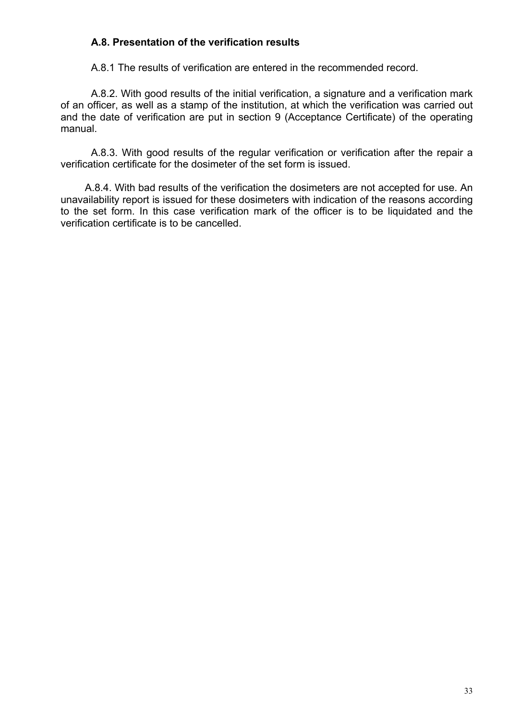## **A.8. Presentation of the verification results**

А.8.1 The results of verification are entered in the recommended record.

A.8.2. With good results of the initial verification, a signature and a verification mark of an officer, as well as a stamp of the institution, at which the verification was carried out and the date of verification are put in section 9 (Acceptance Certificate) of the operating manual.

A.8.3. With good results of the regular verification or verification after the repair a verification certificate for the dosimeter of the set form is issued.

A.8.4. With bad results of the verification the dosimeters are not accepted for use. An unavailability report is issued for these dosimeters with indication of the reasons according to the set form. In this case verification mark of the officer is to be liquidated and the verification certificate is to be cancelled.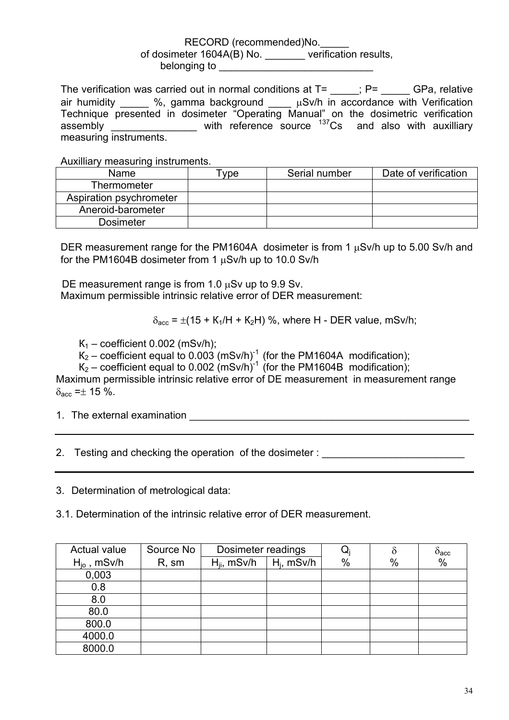#### RECORD (recommended)No. of dosimeter 1604A(B) No. \_\_\_\_\_\_\_ verification results, belonging to

The verification was carried out in normal conditions at  $T=$   $\qquad$ ; P= GPa, relative air humidity  $\_\_\_\_\$ %, gamma background  $\_\_\_\mu$ Sv/h in accordance with Verification Technique presented in dosimeter "Operating Manual" on the dosimetric verification  $\frac{137}{2}$  assembly \_\_\_\_\_\_\_\_\_\_\_\_\_\_\_\_\_\_\_ with reference source  $\frac{137}{2}$ Cs and also with auxilliary measuring instruments.

Auxilliary measuring instruments.

| Name                    | vpe | Serial number | Date of verification |
|-------------------------|-----|---------------|----------------------|
| Thermometer             |     |               |                      |
| Aspiration psychrometer |     |               |                      |
| Aneroid-barometer       |     |               |                      |
| <b>Dosimeter</b>        |     |               |                      |

DER measurement range for the PM1604A dosimeter is from 1  $\mu$ Sv/h up to 5.00 Sv/h and for the РМ1604B dosimeter from 1 µSv/h up to 10.0 Sv/h

DE measurement range is from 1.0  $\mu$ Sv up to 9.9 Sv. Maximum permissible intrinsic relative error of DER measurement:

 $\delta_{\text{acc}}$  =  $\pm$ (15 + K<sub>1</sub>/H + K<sub>2</sub>H) %, where H - DER value, mSv/h;

 $K_1$  – coefficient 0.002 (mSv/h);

 $K_2$  – coefficient equal to 0.003 (mSv/h)<sup>-1</sup> (for the PM1604A modification);

 $K_2$  – coefficient equal to 0.002 (mSv/h)<sup>-1</sup> (for the PM1604B modification);

Maximum permissible intrinsic relative error of DE measurement in measurement range  $\delta_{\text{acc}} = \pm 15 \%$ .

1. The external examination **Example 2008** 

2. Testing and checking the operation of the dosimeter :

3. Determination of metrological data:

3.1. Determination of the intrinsic relative error of DER measurement.

| Actual value            | Source No | Dosimeter readings |               | Q    |      | $\delta_{\text{acc}}$ |
|-------------------------|-----------|--------------------|---------------|------|------|-----------------------|
| $H_{\text{io}}$ , mSv/h | R, sm     | $H_{ii}$ , mSv/h   | $H_i$ , mSv/h | $\%$ | $\%$ | $\frac{0}{0}$         |
| 0,003                   |           |                    |               |      |      |                       |
| 0.8                     |           |                    |               |      |      |                       |
| 8.0                     |           |                    |               |      |      |                       |
| 80.0                    |           |                    |               |      |      |                       |
| 800.0                   |           |                    |               |      |      |                       |
| 4000.0                  |           |                    |               |      |      |                       |
| 8000.0                  |           |                    |               |      |      |                       |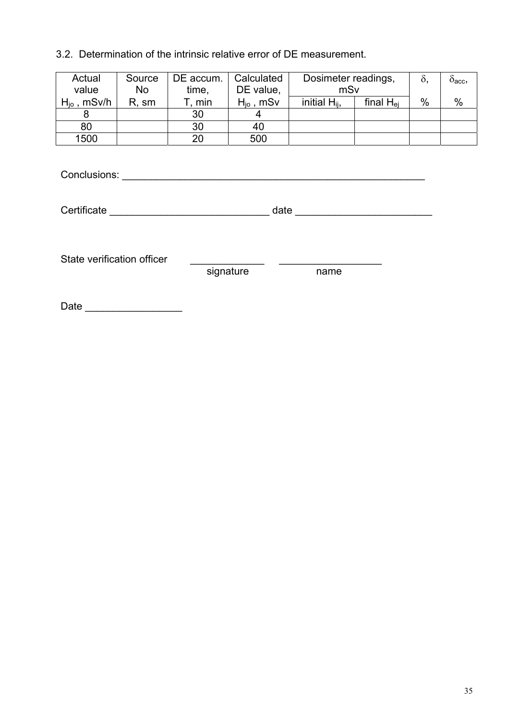## 3.2. Determination of the intrinsic relative error of DE measurement.

| Actual<br>value  | Source<br><b>No</b> | DE accum. | Calculated<br>DE value, | Dosimeter readings, |                | Ò,   | O <sub>acc</sub> |
|------------------|---------------------|-----------|-------------------------|---------------------|----------------|------|------------------|
|                  |                     | time,     |                         | mSv                 |                |      |                  |
| $H_{io}$ , mSv/h | R, sm               | min       | $H_{io}$ , mSv          | initial $H_{ii}$ ,  | final $H_{ei}$ | $\%$ | $\%$             |
|                  |                     | 30        |                         |                     |                |      |                  |
| 80               |                     | 30        | 40                      |                     |                |      |                  |
| 1500             |                     | 20        | 500                     |                     |                |      |                  |

Conclusions: \_\_\_\_\_\_\_\_\_\_\_\_\_\_\_\_\_\_\_\_\_\_\_\_\_\_\_\_\_\_\_\_\_\_\_\_\_\_\_\_\_\_\_\_\_\_\_\_\_\_\_\_\_

Certificate \_\_\_\_\_\_\_\_\_\_\_\_\_\_\_\_\_\_\_\_\_\_\_\_\_\_\_\_ date \_\_\_\_\_\_\_\_\_\_\_\_\_\_\_\_\_\_\_\_\_\_\_\_

State verification officer \_\_\_\_\_\_\_\_\_\_\_\_\_ \_\_\_\_\_\_\_\_\_\_\_\_\_\_\_\_\_\_

signature and name

Date \_\_\_\_\_\_\_\_\_\_\_\_\_\_\_\_\_